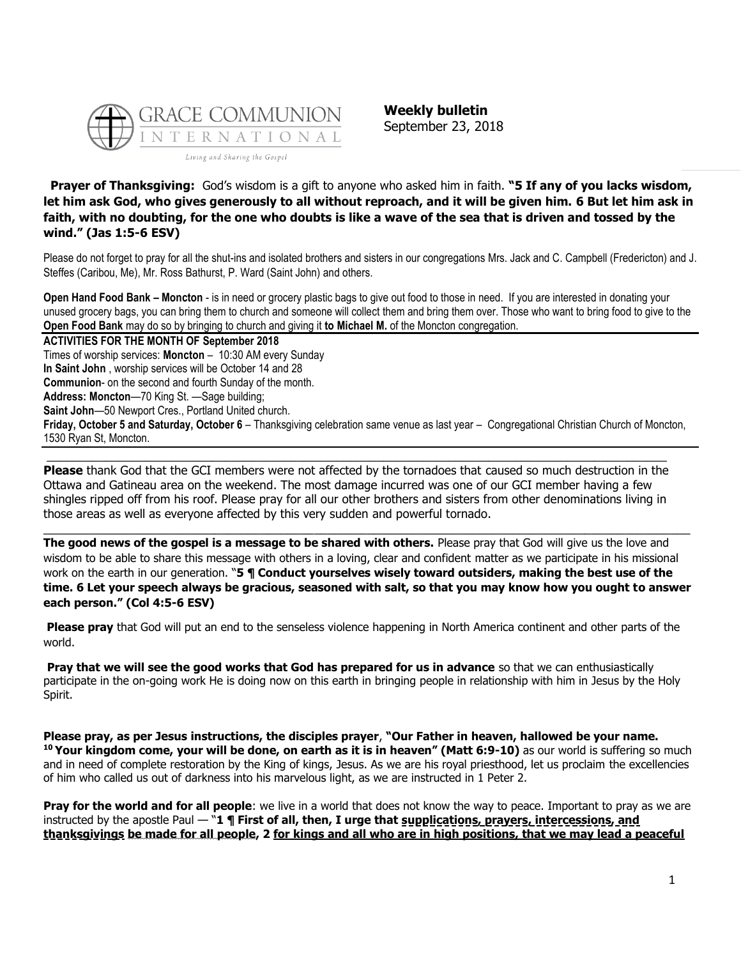

**Weekly bulletin** September 23, 2018

**Prayer of Thanksgiving:** God's wisdom is a gift to anyone who asked him in faith. **"5 If any of you lacks wisdom, let him ask God, who gives generously to all without reproach, and it will be given him. 6 But let him ask in faith, with no doubting, for the one who doubts is like a wave of the sea that is driven and tossed by the wind." (Jas 1:5-6 ESV)**

Please do not forget to pray for all the shut-ins and isolated brothers and sisters in our congregations Mrs. Jack and C. Campbell (Fredericton) and J. Steffes (Caribou, Me), Mr. Ross Bathurst, P. Ward (Saint John) and others.

**Open Hand Food Bank – Moncton** - is in need or grocery plastic bags to give out food to those in need. If you are interested in donating your unused grocery bags, you can bring them to church and someone will collect them and bring them over. Those who want to bring food to give to the **Open Food Bank** may do so by bringing to church and giving it **to Michael M.** of the Moncton congregation.

**ACTIVITIES FOR THE MONTH OF September 2018** Times of worship services: **Moncton** – 10:30 AM every Sunday **In Saint John** , worship services will be October 14 and 28 **Communion**- on the second and fourth Sunday of the month. **Address: Moncton**—70 King St. —Sage building; **Saint John**—50 Newport Cres., Portland United church. **Friday, October 5 and Saturday, October 6** – Thanksgiving celebration same venue as last year – Congregational Christian Church of Moncton, 1530 Ryan St, Moncton.

**Please** thank God that the GCI members were not affected by the tornadoes that caused so much destruction in the Ottawa and Gatineau area on the weekend. The most damage incurred was one of our GCI member having a few shingles ripped off from his roof. Please pray for all our other brothers and sisters from other denominations living in those areas as well as everyone affected by this very sudden and powerful tornado.

**The good news of the gospel is a message to be shared with others.** Please pray that God will give us the love and wisdom to be able to share this message with others in a loving, clear and confident matter as we participate in his missional work on the earth in our generation. "**5 ¶ Conduct yourselves wisely toward outsiders, making the best use of the time. 6 Let your speech always be gracious, seasoned with salt, so that you may know how you ought to answer each person." (Col 4:5-6 ESV)**

 $\_$  ,  $\_$  ,  $\_$  ,  $\_$  ,  $\_$  ,  $\_$  ,  $\_$  ,  $\_$  ,  $\_$  ,  $\_$  ,  $\_$  ,  $\_$  ,  $\_$  ,  $\_$  ,  $\_$  ,  $\_$  ,  $\_$  ,  $\_$  ,  $\_$  ,  $\_$  ,  $\_$  ,  $\_$  ,  $\_$  ,  $\_$  ,  $\_$  ,  $\_$  ,  $\_$  ,  $\_$  ,  $\_$  ,  $\_$  ,  $\_$  ,  $\_$  ,  $\_$  ,  $\_$  ,  $\_$  ,  $\_$  ,  $\_$  ,

**Please pray** that God will put an end to the senseless violence happening in North America continent and other parts of the world.

**Pray that we will see the good works that God has prepared for us in advance** so that we can enthusiastically participate in the on-going work He is doing now on this earth in bringing people in relationship with him in Jesus by the Holy Spirit.

**Please pray, as per Jesus instructions, the disciples prayer**, **"Our Father in heaven, hallowed be your name. <sup>10</sup> Your kingdom come, your will be done, on earth as it is in heaven" (Matt 6:9-10)** as our world is suffering so much and in need of complete restoration by the King of kings, Jesus. As we are his royal priesthood, let us proclaim the excellencies of him who called us out of darkness into his marvelous light, as we are instructed in 1 Peter 2.

**Pray for the world and for all people**: we live in a world that does not know the way to peace. Important to pray as we are instructed by the apostle Paul — "**1 ¶ First of all, then, I urge that supplications, prayers, intercessions, and thanksgivings be made for all people, 2 for kings and all who are in high positions, that we may lead a peaceful**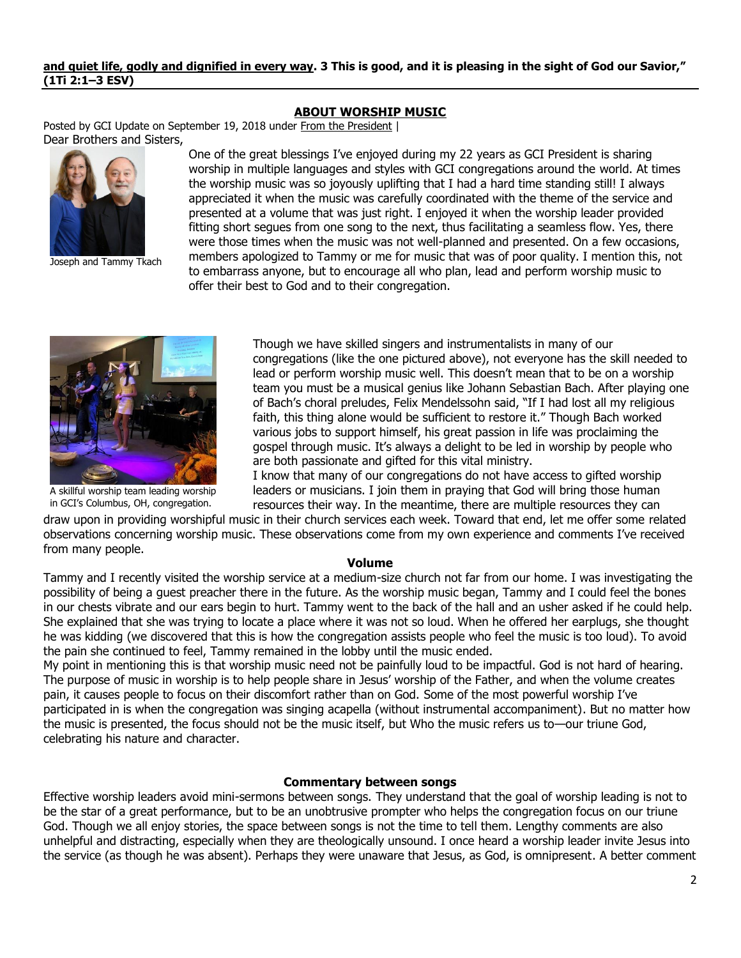### **and quiet life, godly and dignified in every way. 3 This is good, and it is pleasing in the sight of God our Savior," (1Ti 2:1–3 ESV)**

## **[ABOUT WORSHIP MUSIC](https://update.gci.org/2018/09/about-worship-music/)**

Posted by GCI Update on September 19, 2018 under [From the President](https://update.gci.org/category/president/) | Dear Brothers and Sisters,



Joseph and Tammy Tkach

One of the great blessings I've enjoyed during my 22 years as GCI President is sharing worship in multiple languages and styles with GCI congregations around the world. At times the worship music was so joyously uplifting that I had a hard time standing still! I always appreciated it when the music was carefully coordinated with the theme of the service and presented at a volume that was just right. I enjoyed it when the worship leader provided fitting short segues from one song to the next, thus facilitating a seamless flow. Yes, there were those times when the music was not well-planned and presented. On a few occasions, members apologized to Tammy or me for music that was of poor quality. I mention this, not to embarrass anyone, but to encourage all who plan, lead and perform worship music to offer their best to God and to their congregation.



A skillful worship team leading worship in GCI's Columbus, OH, congregation.

Though we have skilled singers and instrumentalists in many of our congregations (like the one pictured above), not everyone has the skill needed to lead or perform worship music well. This doesn't mean that to be on a worship team you must be a musical genius like Johann Sebastian Bach. After playing one of Bach's choral preludes, Felix Mendelssohn said, "If I had lost all my religious faith, this thing alone would be sufficient to restore it." Though Bach worked various jobs to support himself, his great passion in life was proclaiming the gospel through music. It's always a delight to be led in worship by people who are both passionate and gifted for this vital ministry.

I know that many of our congregations do not have access to gifted worship leaders or musicians. I join them in praying that God will bring those human resources their way. In the meantime, there are multiple resources they can

draw upon in providing worshipful music in their church services each week. Toward that end, let me offer some related observations concerning worship music. These observations come from my own experience and comments I've received from many people.

#### **Volume**

Tammy and I recently visited the worship service at a medium-size church not far from our home. I was investigating the possibility of being a guest preacher there in the future. As the worship music began, Tammy and I could feel the bones in our chests vibrate and our ears begin to hurt. Tammy went to the back of the hall and an usher asked if he could help. She explained that she was trying to locate a place where it was not so loud. When he offered her earplugs, she thought he was kidding (we discovered that this is how the congregation assists people who feel the music is too loud). To avoid the pain she continued to feel, Tammy remained in the lobby until the music ended.

My point in mentioning this is that worship music need not be painfully loud to be impactful. God is not hard of hearing. The purpose of music in worship is to help people share in Jesus' worship of the Father, and when the volume creates pain, it causes people to focus on their discomfort rather than on God. Some of the most powerful worship I've participated in is when the congregation was singing acapella (without instrumental accompaniment). But no matter how the music is presented, the focus should not be the music itself, but Who the music refers us to—our triune God, celebrating his nature and character.

### **Commentary between songs**

Effective worship leaders avoid mini-sermons between songs. They understand that the goal of worship leading is not to be the star of a great performance, but to be an unobtrusive prompter who helps the congregation focus on our triune God. Though we all enjoy stories, the space between songs is not the time to tell them. Lengthy comments are also unhelpful and distracting, especially when they are theologically unsound. I once heard a worship leader invite Jesus into the service (as though he was absent). Perhaps they were unaware that Jesus, as God, is omnipresent. A better comment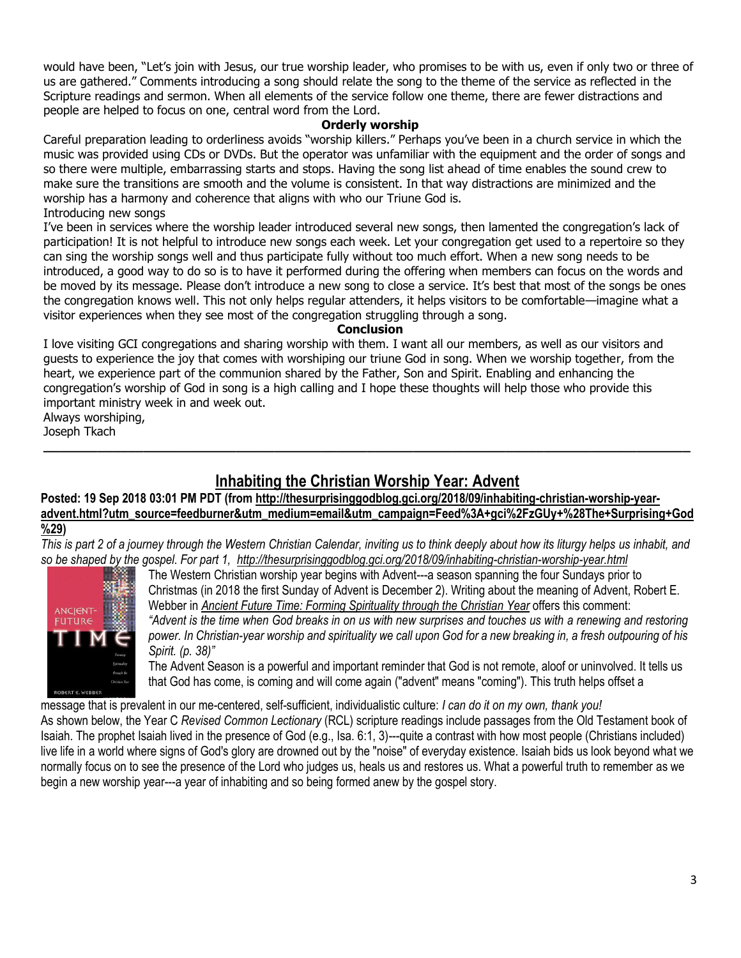would have been, "Let's join with Jesus, our true worship leader, who promises to be with us, even if only two or three of us are gathered." Comments introducing a song should relate the song to the theme of the service as reflected in the Scripture readings and sermon. When all elements of the service follow one theme, there are fewer distractions and people are helped to focus on one, central word from the Lord.

## **Orderly worship**

Careful preparation leading to orderliness avoids "worship killers." Perhaps you've been in a church service in which the music was provided using CDs or DVDs. But the operator was unfamiliar with the equipment and the order of songs and so there were multiple, embarrassing starts and stops. Having the song list ahead of time enables the sound crew to make sure the transitions are smooth and the volume is consistent. In that way distractions are minimized and the worship has a harmony and coherence that aligns with who our Triune God is. Introducing new songs

I've been in services where the worship leader introduced several new songs, then lamented the congregation's lack of participation! It is not helpful to introduce new songs each week. Let your congregation get used to a repertoire so they can sing the worship songs well and thus participate fully without too much effort. When a new song needs to be introduced, a good way to do so is to have it performed during the offering when members can focus on the words and be moved by its message. Please don't introduce a new song to close a service. It's best that most of the songs be ones the congregation knows well. This not only helps regular attenders, it helps visitors to be comfortable—imagine what a visitor experiences when they see most of the congregation struggling through a song.

## **Conclusion**

I love visiting GCI congregations and sharing worship with them. I want all our members, as well as our visitors and guests to experience the joy that comes with worshiping our triune God in song. When we worship together, from the heart, we experience part of the communion shared by the Father, Son and Spirit. Enabling and enhancing the congregation's worship of God in song is a high calling and I hope these thoughts will help those who provide this important ministry week in and week out.

Always worshiping, Joseph Tkach

# **[Inhabiting the Christian Worship Year: Advent](http://feedproxy.google.com/~r/gci/zGUy/~3/6pS4LWgb6mo/inhabiting-christian-worship-year-advent.html?utm_source=feedburner&utm_medium=email)**

**\_\_\_\_\_\_\_\_\_\_\_\_\_\_\_\_\_\_\_\_\_\_\_\_\_\_\_\_\_\_\_\_\_\_\_\_\_\_\_\_\_\_\_\_\_\_\_\_\_\_\_\_\_\_\_\_\_\_\_\_\_\_\_\_\_\_\_\_\_\_\_\_\_\_\_\_\_\_\_\_\_\_\_\_**

Posted: 19 Sep 2018 03:01 PM PDT (from [http://thesurprisinggodblog.gci.org/2018/09/inhabiting-christian-worship-year](http://thesurprisinggodblog.gci.org/2018/09/inhabiting-christian-worship-year-advent.html?utm_source=feedburner&utm_medium=email&utm_campaign=Feed%3A+gci%2FzGUy+%28The+Surprising+God%29)**[advent.html?utm\\_source=feedburner&utm\\_medium=email&utm\\_campaign=Feed%3A+gci%2FzGUy+%28The+Surprising+God](http://thesurprisinggodblog.gci.org/2018/09/inhabiting-christian-worship-year-advent.html?utm_source=feedburner&utm_medium=email&utm_campaign=Feed%3A+gci%2FzGUy+%28The+Surprising+God%29) [%29\)](http://thesurprisinggodblog.gci.org/2018/09/inhabiting-christian-worship-year-advent.html?utm_source=feedburner&utm_medium=email&utm_campaign=Feed%3A+gci%2FzGUy+%28The+Surprising+God%29)** 

*This is part 2 of a journey through the Western Christian Calendar, inviting us to think deeply about how its liturgy helps us inhabit, and so be shaped by the gospel. For part 1, <http://thesurprisinggodblog.gci.org/2018/09/inhabiting-christian-worship-year.html>*



The Western Christian worship year begins with Advent---a season spanning the four Sundays prior to Christmas (in 2018 the first Sunday of Advent is December 2). Writing about the meaning of Advent, Robert E. Webber in *[Ancient Future Time: Forming Spirituality through the Christian Year](https://books.google.com/books?id=-YmvoBatBZwC&printsec=frontcover#v=onepage&q&f=false)* offers this comment: *"Advent is the time when God breaks in on us with new surprises and touches us with a renewing and restoring power. In Christian-year worship and spirituality we call upon God for a new breaking in, a fresh outpouring of his Spirit. (p. 38)"*

The Advent Season is a powerful and important reminder that God is not remote, aloof or uninvolved. It tells us that God has come, is coming and will come again ("advent" means "coming"). This truth helps offset a

message that is prevalent in our me-centered, self-sufficient, individualistic culture: *I can do it on my own, thank you!* As shown below, the Year C *Revised Common Lectionary* (RCL) scripture readings include passages from the Old Testament book of Isaiah. The prophet Isaiah lived in the presence of God (e.g., Isa. 6:1, 3)---quite a contrast with how most people (Christians included) live life in a world where signs of God's glory are drowned out by the "noise" of everyday existence. Isaiah bids us look beyond what we normally focus on to see the presence of the Lord who judges us, heals us and restores us. What a powerful truth to remember as we begin a new worship year---a year of inhabiting and so being formed anew by the gospel story.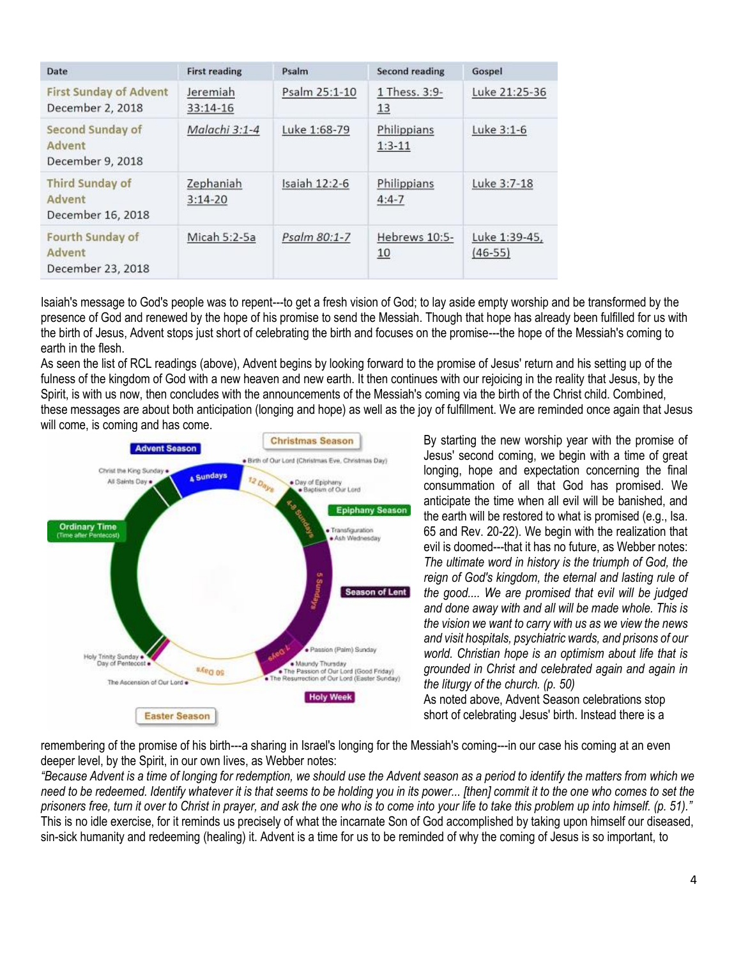| Date                                                   | <b>First reading</b>   | Psalm         | Second reading          | Gospel                     |
|--------------------------------------------------------|------------------------|---------------|-------------------------|----------------------------|
| <b>First Sunday of Advent</b><br>December 2, 2018      | Jeremiah<br>$33:14-16$ | Psalm 25:1-10 | 1 Thess. 3:9-<br>13     | Luke 21:25-36              |
| Second Sunday of<br>Advent<br>December 9, 2018         | Malachi 3:1-4          | Luke 1:68-79  | Philippians<br>$1:3-11$ | Luke 3:1-6                 |
| <b>Third Sunday of</b><br>Advent<br>December 16, 2018  | Zephaniah<br>$3:14-20$ | Isaiah 12:2-6 | Philippians<br>$4:4-7$  | Luke 3:7-18                |
| <b>Fourth Sunday of</b><br>Advent<br>December 23, 2018 | Micah 5:2-5a           | Psalm 80:1-7  | Hebrews 10:5-<br>10     | Luke 1:39-45.<br>$(46-55)$ |

Isaiah's message to God's people was to repent---to get a fresh vision of God; to lay aside empty worship and be transformed by the presence of God and renewed by the hope of his promise to send the Messiah. Though that hope has already been fulfilled for us with the birth of Jesus, Advent stops just short of celebrating the birth and focuses on the promise---the hope of the Messiah's coming to earth in the flesh.

As seen the list of RCL readings (above), Advent begins by looking forward to the promise of Jesus' return and his setting up of the fulness of the kingdom of God with a new heaven and new earth. It then continues with our rejoicing in the reality that Jesus, by the Spirit, is with us now, then concludes with the announcements of the Messiah's coming via the birth of the Christ child. Combined, these messages are about both anticipation (longing and hope) as well as the joy of fulfillment. We are reminded once again that Jesus will come, is coming and has come.



By starting the new worship year with the promise of Jesus' second coming, we begin with a time of great longing, hope and expectation concerning the final consummation of all that God has promised. We anticipate the time when all evil will be banished, and the earth will be restored to what is promised (e.g., Isa. 65 and Rev. 20-22). We begin with the realization that evil is doomed---that it has no future, as Webber notes: *The ultimate word in history is the triumph of God, the reign of God's kingdom, the eternal and lasting rule of the good.... We are promised that evil will be judged and done away with and all will be made whole. This is the vision we want to carry with us as we view the news and visit hospitals, psychiatric wards, and prisons of our world. Christian hope is an optimism about life that is grounded in Christ and celebrated again and again in the liturgy of the church. (p. 50)*

As noted above, Advent Season celebrations stop short of celebrating Jesus' birth. Instead there is a

remembering of the promise of his birth---a sharing in Israel's longing for the Messiah's coming---in our case his coming at an even deeper level, by the Spirit, in our own lives, as Webber notes:

*"Because Advent is a time of longing for redemption, we should use the Advent season as a period to identify the matters from which we need to be redeemed. Identify whatever it is that seems to be holding you in its power... [then] commit it to the one who comes to set the prisoners free, turn it over to Christ in prayer, and ask the one who is to come into your life to take this problem up into himself. (p. 51)."* This is no idle exercise, for it reminds us precisely of what the incarnate Son of God accomplished by taking upon himself our diseased, sin-sick humanity and redeeming (healing) it. Advent is a time for us to be reminded of why the coming of Jesus is so important, to